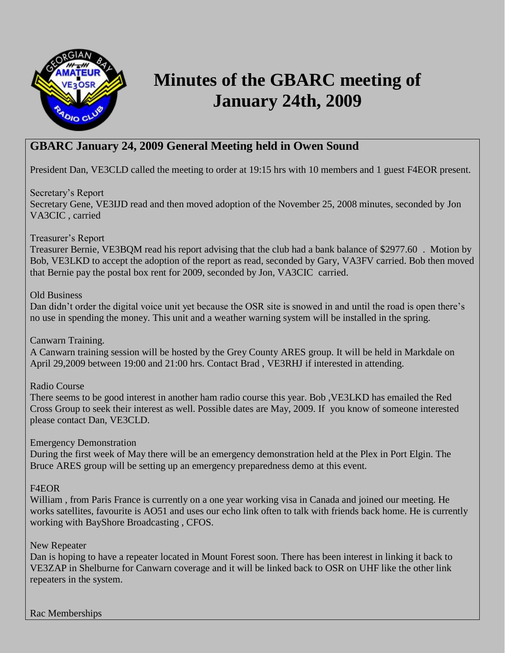

# **Minutes of the GBARC meeting of January 24th, 2009**

# **GBARC January 24, 2009 General Meeting held in Owen Sound**

President Dan, VE3CLD called the meeting to order at 19:15 hrs with 10 members and 1 guest F4EOR present.

Secretary's Report

Secretary Gene, VE3IJD read and then moved adoption of the November 25, 2008 minutes, seconded by Jon VA3CIC , carried

Treasurer's Report

Treasurer Bernie, VE3BQM read his report advising that the club had a bank balance of \$2977.60 . Motion by Bob, VE3LKD to accept the adoption of the report as read, seconded by Gary, VA3FV carried. Bob then moved that Bernie pay the postal box rent for 2009, seconded by Jon, VA3CIC carried.

#### Old Business

Dan didn't order the digital voice unit yet because the OSR site is snowed in and until the road is open there's no use in spending the money. This unit and a weather warning system will be installed in the spring.

# Canwarn Training.

A Canwarn training session will be hosted by the Grey County ARES group. It will be held in Markdale on April 29,2009 between 19:00 and 21:00 hrs. Contact Brad , VE3RHJ if interested in attending.

Radio Course

There seems to be good interest in another ham radio course this year. Bob ,VE3LKD has emailed the Red Cross Group to seek their interest as well. Possible dates are May, 2009. If you know of someone interested please contact Dan, VE3CLD.

Emergency Demonstration

During the first week of May there will be an emergency demonstration held at the Plex in Port Elgin. The Bruce ARES group will be setting up an emergency preparedness demo at this event.

# F4EOR

William , from Paris France is currently on a one year working visa in Canada and joined our meeting. He works satellites, favourite is AO51 and uses our echo link often to talk with friends back home. He is currently working with BayShore Broadcasting , CFOS.

# New Repeater

Dan is hoping to have a repeater located in Mount Forest soon. There has been interest in linking it back to VE3ZAP in Shelburne for Canwarn coverage and it will be linked back to OSR on UHF like the other link repeaters in the system.

Rac Memberships